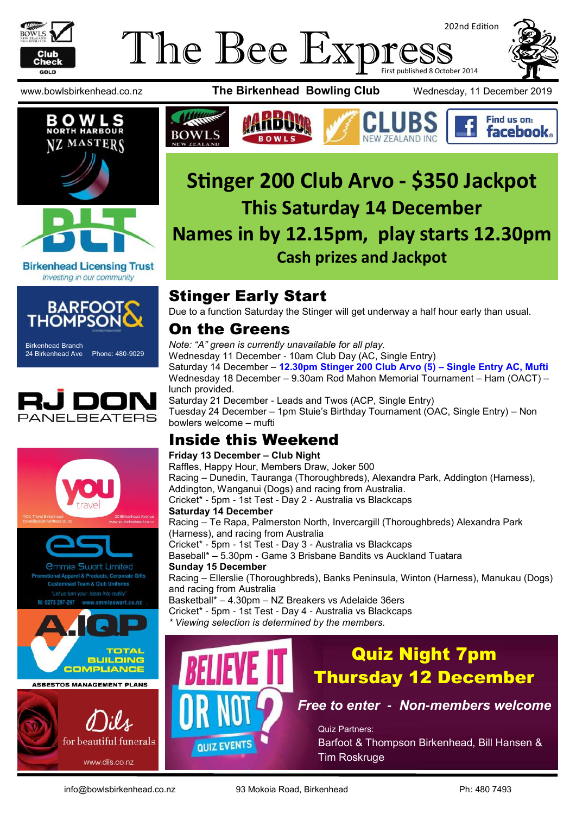

## The Bee Expi 202nd Edition First published 8 October 2014







**Birkenhead Licensing Trust** Investing in our community



Birkenhead Branch 24 Birkenhead Ave Phone: 480-9029







www.bowlsbirkenhead.co.nz **The Birkenhead Bowling Club** Wednesday, 11 December 2019





# **Stinger 200 Club Arvo - \$350 Jackpot This Saturday 14 December Names in by 12.15pm, play starts 12.30pm Cash prizes and Jackpot**

# Stinger Early Start

Due to a function Saturday the Stinger will get underway a half hour early than usual.

### On the Greens

*Note: "A" green is currently unavailable for all play.* Wednesday 11 December - 10am Club Day (AC, Single Entry) Saturday 14 December – **12.30pm Stinger 200 Club Arvo (5) – Single Entry AC, Mufti** Wednesday 18 December – 9.30am Rod Mahon Memorial Tournament – Ham (OACT) – lunch provided. Saturday 21 December - Leads and Twos (ACP, Single Entry) Tuesday 24 December – 1pm Stuie's Birthday Tournament (OAC, Single Entry) – Non bowlers welcome – mufti

### Inside this Weekend

#### **Friday 13 December – Club Night**

Raffles, Happy Hour, Members Draw, Joker 500 Racing – Dunedin, Tauranga (Thoroughbreds), Alexandra Park, Addington (Harness), Addington, Wanganui (Dogs) and racing from Australia. Cricket\* - 5pm - 1st Test - Day 2 - Australia vs Blackcaps **Saturday 14 December** Racing – Te Rapa, Palmerston North, Invercargill (Thoroughbreds) Alexandra Park (Harness), and racing from Australia Cricket\* - 5pm - 1st Test - Day 3 - Australia vs Blackcaps Baseball\* – 5.30pm - Game 3 Brisbane Bandits vs Auckland Tuatara **Sunday 15 December** Racing – Ellerslie (Thoroughbreds), Banks Peninsula, Winton (Harness), Manukau (Dogs) and racing from Australia Basketball\* – 4.30pm – NZ Breakers vs Adelaide 36ers Cricket\* - 5pm - 1st Test - Day 4 - Australia vs Blackcaps *\* Viewing selection is determined by the members.*



# Quiz Night 7pm Thursday 12 December

*Free to enter - Non-members welcome*

Quiz Partners: Barfoot & Thompson Birkenhead, Bill Hansen & Tim Roskruge

for beautiful funerals

www.dils.co.nz